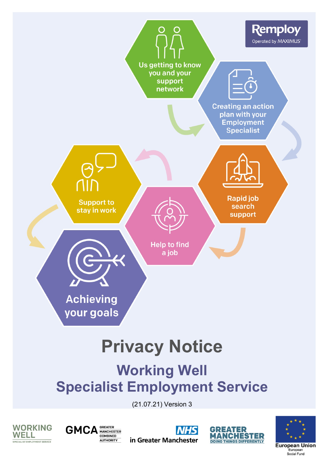# Privacy Notice

Working Well Specialist Employment Service

(21.07.21) Version 3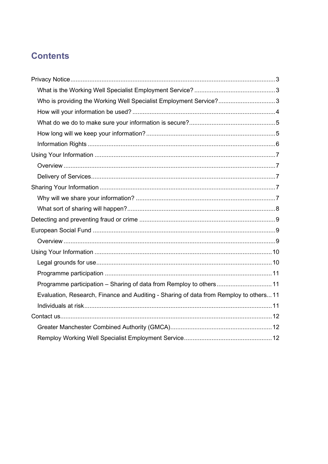# **Contents**

| Who is providing the Working Well Specialist Employment Service?3                      |  |
|----------------------------------------------------------------------------------------|--|
|                                                                                        |  |
|                                                                                        |  |
|                                                                                        |  |
|                                                                                        |  |
|                                                                                        |  |
|                                                                                        |  |
|                                                                                        |  |
|                                                                                        |  |
|                                                                                        |  |
|                                                                                        |  |
|                                                                                        |  |
|                                                                                        |  |
|                                                                                        |  |
|                                                                                        |  |
|                                                                                        |  |
|                                                                                        |  |
| Programme participation - Sharing of data from Remploy to others 11                    |  |
| Evaluation, Research, Finance and Auditing - Sharing of data from Remploy to others 11 |  |
|                                                                                        |  |
|                                                                                        |  |
|                                                                                        |  |
|                                                                                        |  |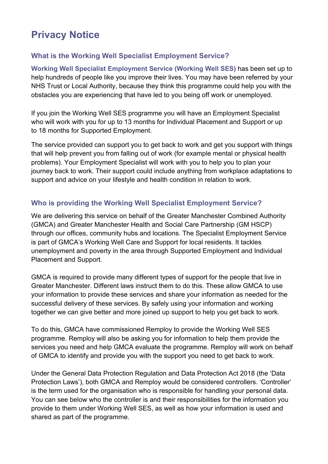# <span id="page-2-0"></span>**Privacy Notice**

# <span id="page-2-1"></span>**What is the Working Well Specialist Employment Service?**

**Working Well Specialist Employment Service (Working Well SES)** has been set up to help hundreds of people like you improve their lives. You may have been referred by your NHS Trust or Local Authority, because they think this programme could help you with the obstacles you are experiencing that have led to you being off work or unemployed.

If you join the Working Well SES programme you will have an Employment Specialist who will work with you for up to 13 months for Individual Placement and Support or up to 18 months for Supported Employment.

The service provided can support you to get back to work and get you support with things that will help prevent you from falling out of work (for example mental or physical health problems). Your Employment Specialist will work with you to help you to plan your journey back to work. Their support could include anything from workplace adaptations to support and advice on your lifestyle and health condition in relation to work.

# <span id="page-2-2"></span>**Who is providing the Working Well Specialist Employment Service?**

We are delivering this service on behalf of the Greater Manchester Combined Authority (GMCA) and Greater Manchester Health and Social Care Partnership (GM HSCP) through our offices, community hubs and locations. The Specialist Employment Service is part of GMCA's Working Well Care and Support for local residents. It tackles unemployment and poverty in the area through Supported Employment and Individual Placement and Support.

GMCA is required to provide many different types of support for the people that live in Greater Manchester. Different laws instruct them to do this. These allow GMCA to use your information to provide these services and share your information as needed for the successful delivery of these services. By safely using your information and working together we can give better and more joined up support to help you get back to work.

To do this, GMCA have commissioned Remploy to provide the Working Well SES programme. Remploy will also be asking you for information to help them provide the services you need and help GMCA evaluate the programme. Remploy will work on behalf of GMCA to identify and provide you with the support you need to get back to work.

Under the General Data Protection Regulation and Data Protection Act 2018 (the 'Data Protection Laws'), both GMCA and Remploy would be considered controllers. 'Controller' is the term used for the organisation who is responsible for handling your personal data. You can see below who the controller is and their responsibilities for the information you provide to them under Working Well SES, as well as how your information is used and shared as part of the programme.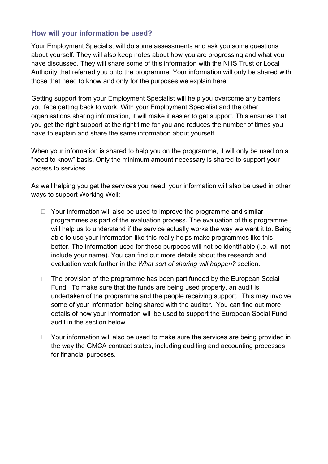#### <span id="page-3-0"></span>**How will your information be used?**

Your Employment Specialist will do some assessments and ask you some questions about yourself. They will also keep notes about how you are progressing and what you have discussed. They will share some of this information with the NHS Trust or Local Authority that referred you onto the programme. Your information will only be shared with those that need to know and only for the purposes we explain here.

Getting support from your Employment Specialist will help you overcome any barriers you face getting back to work. With your Employment Specialist and the other organisations sharing information, it will make it easier to get support. This ensures that you get the right support at the right time for you and reduces the number of times you have to explain and share the same information about yourself.

When your information is shared to help you on the programme, it will only be used on a "need to know" basis. Only the minimum amount necessary is shared to support your access to services.

As well helping you get the services you need, your information will also be used in other ways to support Working Well:

- $\Box$  Your information will also be used to improve the programme and similar programmes as part of the evaluation process. The evaluation of this programme will help us to understand if the service actually works the way we want it to. Being able to use your information like this really helps make programmes like this better. The information used for these purposes will not be identifiable (i.e. will not include your name). You can find out more details about the research and evaluation work further in the *What sort of sharing will happen?* section.
- $\Box$  The provision of the programme has been part funded by the European Social Fund. To make sure that the funds are being used properly, an audit is undertaken of the programme and the people receiving support. This may involve some of your information being shared with the auditor. You can find out more details of how your information will be used to support the European Social Fund audit in the section below
- $\Box$  Your information will also be used to make sure the services are being provided in the way the GMCA contract states, including auditing and accounting processes for financial purposes.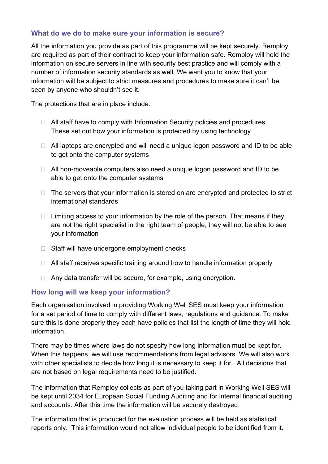### <span id="page-4-0"></span>**What do we do to make sure your information is secure?**

All the information you provide as part of this programme will be kept securely. Remploy are required as part of their contract to keep your information safe. Remploy will hold the information on secure servers in line with security best practice and will comply with a number of information security standards as well. We want you to know that your information will be subject to strict measures and procedures to make sure it can't be seen by anyone who shouldn't see it.

The protections that are in place include:

- $\Box$  All staff have to comply with Information Security policies and procedures. These set out how your information is protected by using technology
- $\Box$  All laptops are encrypted and will need a unique logon password and ID to be able to get onto the computer systems
- □ All non-moveable computers also need a unique logon password and ID to be able to get onto the computer systems
- $\Box$  The servers that your information is stored on are encrypted and protected to strict international standards
- $\Box$  Limiting access to your information by the role of the person. That means if they are not the right specialist in the right team of people, they will not be able to see your information
- $\Box$  Staff will have undergone employment checks
- $\Box$  All staff receives specific training around how to handle information properly
- □ Any data transfer will be secure, for example, using encryption.

### <span id="page-4-1"></span>**How long will we keep your information?**

Each organisation involved in providing Working Well SES must keep your information for a set period of time to comply with different laws, regulations and guidance. To make sure this is done properly they each have policies that list the length of time they will hold information.

There may be times where laws do not specify how long information must be kept for. When this happens, we will use recommendations from legal advisors. We will also work with other specialists to decide how long it is necessary to keep it for. All decisions that are not based on legal requirements need to be justified.

The information that Remploy collects as part of you taking part in Working Well SES will be kept until 2034 for European Social Funding Auditing and for internal financial auditing and accounts. After this time the information will be securely destroyed.

The information that is produced for the evaluation process will be held as statistical reports only. This information would not allow individual people to be identified from it.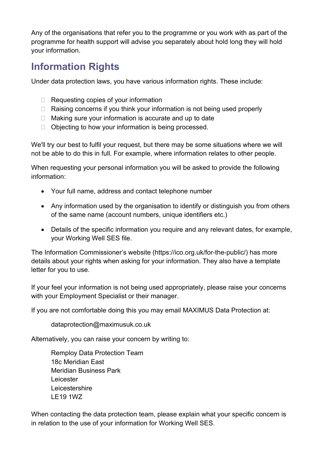Any of the organisations that refer you to the programme or you work with as part of the programme for health support will advise you separately about hold long they will hold your information.

# <span id="page-5-0"></span>**Information Rights**

Under data protection laws, you have various information rights. These include:

- $\Box$  Requesting copies of your information
- $\Box$  Raising concerns if you think your information is not being used properly
- $\Box$  Making sure your information is accurate and up to date
- $\Box$  Objecting to how your information is being processed.

We'll try our best to fulfil your request, but there may be some situations where we will not be able to do this in full. For example, where information relates to other people.

When requesting your personal information you will be asked to provide the following information:

- Your full name, address and contact telephone number
- Any information used by the organisation to identify or distinguish you from others of the same name (account numbers, unique identifiers etc.)
- Details of the specific information you require and any relevant dates, for example, your Working Well SES file.

The Information Commissioner's website (https://ico.org.uk/for-the-public/) has more details about your rights when asking for your information. They also have a template letter for you to use.

If your feel your information is not being used appropriately, please raise your concerns with your Employment Specialist or their manager.

If you are not comfortable doing this you may email MAXIMUS Data Protection at:

[dataprotection@maximusuk.co.uk](mailto:dataprotection@maximusuk.co.uk)

Alternatively, you can raise your concern by writing to:

Remploy Data Protection Team 18c Meridian East Meridian Business Park Leicester **Leicestershire** LE19 1WZ

When contacting the data protection team, please explain what your specific concern is in relation to the use of your information for Working Well SES.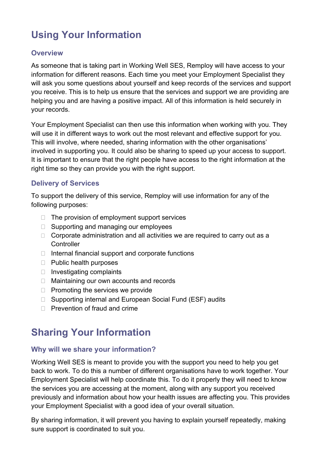# <span id="page-6-0"></span>**Using Your Information**

### <span id="page-6-1"></span>**Overview**

As someone that is taking part in Working Well SES, Remploy will have access to your information for different reasons. Each time you meet your Employment Specialist they will ask you some questions about yourself and keep records of the services and support you receive. This is to help us ensure that the services and support we are providing are helping you and are having a positive impact. All of this information is held securely in your records.

Your Employment Specialist can then use this information when working with you. They will use it in different ways to work out the most relevant and effective support for you. This will involve, where needed, sharing information with the other organisations' involved in supporting you. It could also be sharing to speed up your access to support. It is important to ensure that the right people have access to the right information at the right time so they can provide you with the right support.

#### <span id="page-6-2"></span>**Delivery of Services**

To support the delivery of this service, Remploy will use information for any of the following purposes:

- $\Box$  The provision of employment support services
- $\Box$  Supporting and managing our employees
- $\Box$  Corporate administration and all activities we are required to carry out as a **Controller**
- $\Box$  Internal financial support and corporate functions
- $\Box$  Public health purposes
- $\Box$  Investigating complaints
- □ Maintaining our own accounts and records
- $\Box$  Promoting the services we provide
- □ Supporting internal and European Social Fund (ESF) audits
- $\Box$  Prevention of fraud and crime

# <span id="page-6-3"></span>**Sharing Your Information**

### <span id="page-6-4"></span>**Why will we share your information?**

Working Well SES is meant to provide you with the support you need to help you get back to work. To do this a number of different organisations have to work together. Your Employment Specialist will help coordinate this. To do it properly they will need to know the services you are accessing at the moment, along with any support you received previously and information about how your health issues are affecting you. This provides your Employment Specialist with a good idea of your overall situation.

By sharing information, it will prevent you having to explain yourself repeatedly, making sure support is coordinated to suit you.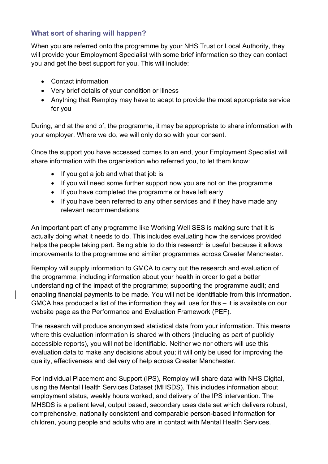# <span id="page-7-0"></span>**What sort of sharing will happen?**

When you are referred onto the programme by your NHS Trust or Local Authority, they will provide your Employment Specialist with some brief information so they can contact you and get the best support for you. This will include:

- Contact information
- Very brief details of your condition or illness
- Anything that Remploy may have to adapt to provide the most appropriate service for you

During, and at the end of, the programme, it may be appropriate to share information with your employer. Where we do, we will only do so with your consent.

Once the support you have accessed comes to an end, your Employment Specialist will share information with the organisation who referred you, to let them know:

- If you got a job and what that job is
- If you will need some further support now you are not on the programme
- If you have completed the programme or have left early
- If you have been referred to any other services and if they have made any relevant recommendations

An important part of any programme like Working Well SES is making sure that it is actually doing what it needs to do. This includes evaluating how the services provided helps the people taking part. Being able to do this research is useful because it allows improvements to the programme and similar programmes across Greater Manchester.

Remploy will supply information to GMCA to carry out the research and evaluation of the programme; including information about your health in order to get a better understanding of the impact of the programme; supporting the programme audit; and enabling financial payments to be made. You will not be identifiable from this information. GMCA has produced a list of the information they will use for this – it is available on our website page as the Performance and Evaluation Framework (PEF).

The research will produce anonymised statistical data from your information. This means where this evaluation information is shared with others (including as part of publicly accessible reports), you will not be identifiable. Neither we nor others will use this evaluation data to make any decisions about you; it will only be used for improving the quality, effectiveness and delivery of help across Greater Manchester.

For Individual Placement and Support (IPS), Remploy will share data with NHS Digital, using the Mental Health Services Dataset (MHSDS). This includes information about employment status, weekly hours worked, and delivery of the IPS intervention. The MHSDS is a patient level, output based, secondary uses data set which delivers robust, comprehensive, nationally consistent and comparable person-based information for children, young people and adults who are in contact with Mental Health Services.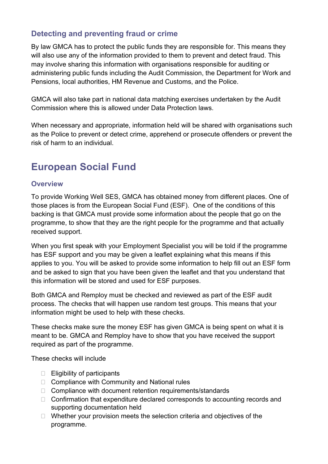# <span id="page-8-0"></span>**Detecting and preventing fraud or crime**

By law GMCA has to protect the public funds they are responsible for. This means they will also use any of the information provided to them to prevent and detect fraud. This may involve sharing this information with organisations responsible for auditing or administering public funds including the Audit Commission, the Department for Work and Pensions, local authorities, HM Revenue and Customs, and the Police.

GMCA will also take part in national data matching exercises undertaken by the Audit Commission where this is allowed under Data Protection laws.

When necessary and appropriate, information held will be shared with organisations such as the Police to prevent or detect crime, apprehend or prosecute offenders or prevent the risk of harm to an individual.

# <span id="page-8-1"></span>**European Social Fund**

#### <span id="page-8-2"></span>**Overview**

To provide Working Well SES, GMCA has obtained money from different places. One of those places is from the European Social Fund (ESF). One of the conditions of this backing is that GMCA must provide some information about the people that go on the programme, to show that they are the right people for the programme and that actually received support.

When you first speak with your Employment Specialist you will be told if the programme has ESF support and you may be given a leaflet explaining what this means if this applies to you. You will be asked to provide some information to help fill out an ESF form and be asked to sign that you have been given the leaflet and that you understand that this information will be stored and used for ESF purposes.

Both GMCA and Remploy must be checked and reviewed as part of the ESF audit process. The checks that will happen use random test groups. This means that your information might be used to help with these checks.

These checks make sure the money ESF has given GMCA is being spent on what it is meant to be. GMCA and Remploy have to show that you have received the support required as part of the programme.

These checks will include

- $\Box$  Eligibility of participants
- □ Compliance with Community and National rules
- □ Compliance with document retention requirements/standards
- $\Box$  Confirmation that expenditure declared corresponds to accounting records and supporting documentation held
- $\Box$  Whether your provision meets the selection criteria and objectives of the programme.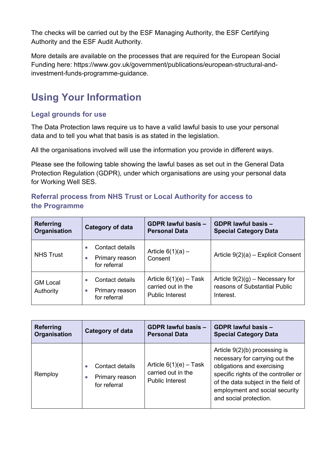The checks will be carried out by the ESF Managing Authority, the ESF Certifying Authority and the ESF Audit Authority.

More details are available on the processes that are required for the European Social Funding here: https://www.gov.uk/government/publications/european-structural-andinvestment-funds-programme-guidance.

# <span id="page-9-0"></span>**Using Your Information**

## <span id="page-9-1"></span>**Legal grounds for use**

The Data Protection laws require us to have a valid lawful basis to use your personal data and to tell you what that basis is as stated in the legislation.

All the organisations involved will use the information you provide in different ways.

Please see the following table showing the lawful bases as set out in the General Data Protection Regulation (GDPR), under which organisations are using your personal data for Working Well SES.

# **Referral process from NHS Trust or Local Authority for access to the Programme**

| <b>Referring</b><br>Organisation | <b>Category of data</b>                           | <b>GDPR lawful basis -</b><br><b>Personal Data</b>                       | <b>GDPR lawful basis -</b><br><b>Special Category Data</b>                      |
|----------------------------------|---------------------------------------------------|--------------------------------------------------------------------------|---------------------------------------------------------------------------------|
| <b>NHS Trust</b>                 | Contact details<br>Primary reason<br>for referral | Article $6(1)(a)$ –<br>Consent                                           | Article 9(2)(a) - Explicit Consent                                              |
| <b>GM Local</b><br>Authority     | Contact details<br>Primary reason<br>for referral | Article $6(1)(e)$ – Task<br>carried out in the<br><b>Public Interest</b> | Article $9(2)(g)$ – Necessary for<br>reasons of Substantial Public<br>Interest. |

| <b>Referring</b> | <b>Category of data</b>                           | <b>GDPR lawful basis -</b>                                               | <b>GDPR lawful basis -</b>                                                                                                                                                                                                                 |
|------------------|---------------------------------------------------|--------------------------------------------------------------------------|--------------------------------------------------------------------------------------------------------------------------------------------------------------------------------------------------------------------------------------------|
| Organisation     |                                                   | <b>Personal Data</b>                                                     | <b>Special Category Data</b>                                                                                                                                                                                                               |
| Remploy          | Contact details<br>Primary reason<br>for referral | Article $6(1)(e)$ – Task<br>carried out in the<br><b>Public Interest</b> | Article $9(2)(b)$ processing is<br>necessary for carrying out the<br>obligations and exercising<br>specific rights of the controller or<br>of the data subject in the field of<br>employment and social security<br>and social protection. |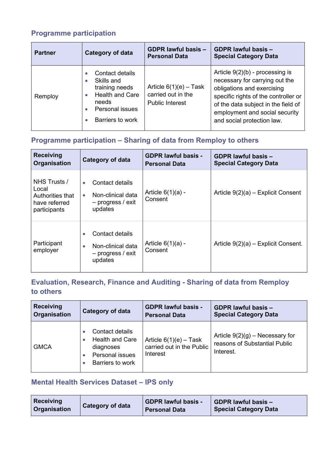# <span id="page-10-0"></span>**Programme participation**

| <b>Partner</b> | <b>Category of data</b>                                                                                                          | <b>GDPR lawful basis -</b><br><b>Personal Data</b>                       | <b>GDPR lawful basis -</b><br><b>Special Category Data</b>                                                                                                                                                                                       |
|----------------|----------------------------------------------------------------------------------------------------------------------------------|--------------------------------------------------------------------------|--------------------------------------------------------------------------------------------------------------------------------------------------------------------------------------------------------------------------------------------------|
| Remploy        | Contact details<br>Skills and<br>training needs<br><b>Health and Care</b><br>needs<br><b>Personal issues</b><br>Barriers to work | Article $6(1)(e)$ – Task<br>carried out in the<br><b>Public Interest</b> | Article $9(2)(b)$ - processing is<br>necessary for carrying out the<br>obligations and exercising<br>specific rights of the controller or<br>of the data subject in the field of<br>employment and social security<br>and social protection law. |

# <span id="page-10-1"></span>**Programme participation – Sharing of data from Remploy to others**

| <b>Receiving</b><br>Organisation                                           | Category of data                                                                                 | <b>GDPR lawful basis -</b><br><b>Personal Data</b> | <b>GDPR lawful basis -</b><br><b>Special Category Data</b> |
|----------------------------------------------------------------------------|--------------------------------------------------------------------------------------------------|----------------------------------------------------|------------------------------------------------------------|
| NHS Trusts /<br>Local<br>Authorities that<br>have referred<br>participants | Contact details<br>$\bullet$<br>Non-clinical data<br>$\bullet$<br>$-$ progress / exit<br>updates | Article $6(1)(a)$ -<br>Consent                     | Article $9(2)(a)$ – Explicit Consent                       |
| Participant<br>employer                                                    | Contact details<br>$\bullet$<br>Non-clinical data<br>$\bullet$<br>$-$ progress / exit<br>updates | Article $6(1)(a)$ -<br>Consent                     | Article $9(2)(a)$ – Explicit Consent.                      |

# <span id="page-10-2"></span>**Evaluation, Research, Finance and Auditing - Sharing of data from Remploy to others**

| <b>Receiving</b> | Category of data                                                                                                        | <b>GDPR lawful basis -</b>                                        | <b>GDPR lawful basis -</b>                                                      |
|------------------|-------------------------------------------------------------------------------------------------------------------------|-------------------------------------------------------------------|---------------------------------------------------------------------------------|
| Organisation     |                                                                                                                         | <b>Personal Data</b>                                              | <b>Special Category Data</b>                                                    |
| <b>GMCA</b>      | Contact details<br><b>Health and Care</b><br>$\bullet$<br>diagnoses<br>Personal issues<br>$\bullet$<br>Barriers to work | Article $6(1)(e)$ – Task<br>carried out in the Public<br>Interest | Article $9(2)(g)$ – Necessary for<br>reasons of Substantial Public<br>Interest. |

# <span id="page-10-3"></span>**Mental Health Services Dataset – IPS only**

| Receiving<br>Category of data<br><b>Organisation</b> | <b>GDPR lawful basis -</b><br><b>Personal Data</b> | <b>GDPR lawful basis -</b><br><b>Special Category Data</b> |
|------------------------------------------------------|----------------------------------------------------|------------------------------------------------------------|
|------------------------------------------------------|----------------------------------------------------|------------------------------------------------------------|